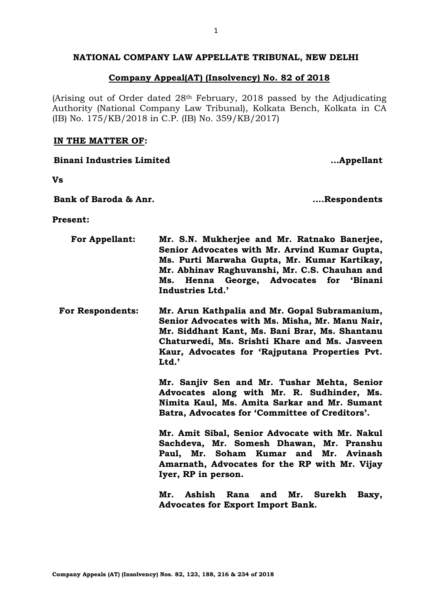# **NATIONAL COMPANY LAW APPELLATE TRIBUNAL, NEW DELHI**

### **Company Appeal(AT) (Insolvency) No. 82 of 2018**

(Arising out of Order dated 28th February, 2018 passed by the Adjudicating Authority (National Company Law Tribunal), Kolkata Bench, Kolkata in CA (IB) No. 175/KB/2018 in C.P. (IB) No. 359/KB/2017)

#### **IN THE MATTER OF:**

**Vs**

**Bank of Baroda & Anr. ….Respondents**

**Binani Industries Limited …Appellant**

**Present:**

| <b>For Appellant:</b>   | Mr. S.N. Mukherjee and Mr. Ratnako Banerjee,<br>Senior Advocates with Mr. Arvind Kumar Gupta,<br>Ms. Purti Marwaha Gupta, Mr. Kumar Kartikay,<br>Mr. Abhinav Raghuvanshi, Mr. C.S. Chauhan and<br>Henna George, Advocates for 'Binani<br>Ms.<br>Industries Ltd.' |  |  |
|-------------------------|------------------------------------------------------------------------------------------------------------------------------------------------------------------------------------------------------------------------------------------------------------------|--|--|
| <b>For Respondents:</b> | Mr. Arun Kathpalia and Mr. Gopal Subramanium,<br>Senior Advocates with Ms. Misha, Mr. Manu Nair,<br>Mr. Siddhant Kant, Ms. Bani Brar, Ms. Shantanu<br>Chaturwedi, Ms. Srishti Khare and Ms. Jasveen<br>Kaur, Advocates for 'Rajputana Properties Pvt.<br>Ltd.'   |  |  |
|                         | Mr. Sanjiv Sen and Mr. Tushar Mehta, Senior<br>Advocates along with Mr. R. Sudhinder, Ms.<br>Nimita Kaul, Ms. Amita Sarkar and Mr. Sumant<br>Batra, Advocates for 'Committee of Creditors'.                                                                      |  |  |
|                         | Mr. Amit Sibal, Senior Advocate with Mr. Nakul<br>Sachdeva, Mr. Somesh Dhawan, Mr. Pranshu<br>Paul, Mr. Soham Kumar and Mr. Avinash<br>Amarnath, Advocates for the RP with Mr. Vijay<br>Iyer, RP in person.                                                      |  |  |
|                         | Mr.<br>Ashish<br>Mr. Surekh<br>Rana and<br>Baxy,<br><b>Advocates for Export Import Bank.</b>                                                                                                                                                                     |  |  |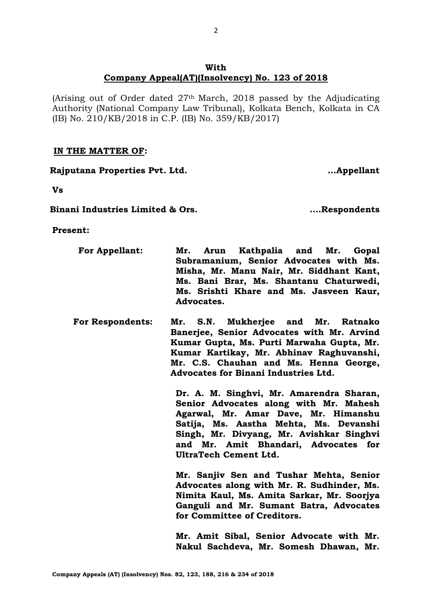# **With Company Appeal(AT)(Insolvency) No. 123 of 2018**

(Arising out of Order dated  $27<sup>th</sup>$  March, 2018 passed by the Adjudicating Authority (National Company Law Tribunal), Kolkata Bench, Kolkata in CA (IB) No. 210/KB/2018 in C.P. (IB) No. 359/KB/2017)

# **IN THE MATTER OF:**

**Rajputana Properties Pvt. Ltd. …Appellant**

**Vs**

**Binani Industries Limited & Ors. ….Respondents**

**Present:**

- **For Appellant: Mr. Arun Kathpalia and Mr. Gopal Subramanium, Senior Advocates with Ms. Misha, Mr. Manu Nair, Mr. Siddhant Kant, Ms. Bani Brar, Ms. Shantanu Chaturwedi, Ms. Srishti Khare and Ms. Jasveen Kaur, Advocates.**
- **For Respondents: Mr. S.N. Mukherjee and Mr. Ratnako Banerjee, Senior Advocates with Mr. Arvind Kumar Gupta, Ms. Purti Marwaha Gupta, Mr. Kumar Kartikay, Mr. Abhinav Raghuvanshi, Mr. C.S. Chauhan and Ms. Henna George, Advocates for Binani Industries Ltd.**

**Dr. A. M. Singhvi, Mr. Amarendra Sharan, Senior Advocates along with Mr. Mahesh Agarwal, Mr. Amar Dave, Mr. Himanshu Satija, Ms. Aastha Mehta, Ms. Devanshi Singh, Mr. Divyang, Mr. Avishkar Singhvi and Mr. Amit Bhandari, Advocates for UltraTech Cement Ltd.**

**Mr. Sanjiv Sen and Tushar Mehta, Senior Advocates along with Mr. R. Sudhinder, Ms. Nimita Kaul, Ms. Amita Sarkar, Mr. Soorjya Ganguli and Mr. Sumant Batra, Advocates for Committee of Creditors.** 

**Mr. Amit Sibal, Senior Advocate with Mr. Nakul Sachdeva, Mr. Somesh Dhawan, Mr.**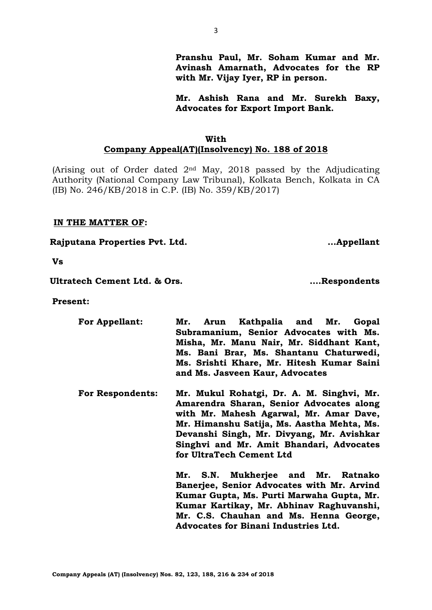**Company Appeals (AT) (Insolvency) Nos. 82, 123, 188, 216 & 234 of 2018**

**Pranshu Paul, Mr. Soham Kumar and Mr. Avinash Amarnath, Advocates for the RP with Mr. Vijay Iyer, RP in person.**

**Mr. Ashish Rana and Mr. Surekh Baxy, Advocates for Export Import Bank.**

# **With Company Appeal(AT)(Insolvency) No. 188 of 2018**

(Arising out of Order dated  $2<sup>nd</sup>$  May, 2018 passed by the Adjudicating Authority (National Company Law Tribunal), Kolkata Bench, Kolkata in CA (IB) No. 246/KB/2018 in C.P. (IB) No. 359/KB/2017)

# **IN THE MATTER OF:**

**Rajputana Properties Pvt. Ltd. …Appellant**

**Vs**

**Ultratech Cement Ltd. & Ors. ….Respondents**

**Present:**

- **For Appellant: Mr. Arun Kathpalia and Mr. Gopal Subramanium, Senior Advocates with Ms. Misha, Mr. Manu Nair, Mr. Siddhant Kant, Ms. Bani Brar, Ms. Shantanu Chaturwedi, Ms. Srishti Khare, Mr. Hitesh Kumar Saini and Ms. Jasveen Kaur, Advocates**
- **For Respondents: Mr. Mukul Rohatgi, Dr. A. M. Singhvi, Mr. Amarendra Sharan, Senior Advocates along with Mr. Mahesh Agarwal, Mr. Amar Dave, Mr. Himanshu Satija, Ms. Aastha Mehta, Ms. Devanshi Singh, Mr. Divyang, Mr. Avishkar Singhvi and Mr. Amit Bhandari, Advocates for UltraTech Cement Ltd**

**Mr. S.N. Mukherjee and Mr. Ratnako Banerjee, Senior Advocates with Mr. Arvind Kumar Gupta, Ms. Purti Marwaha Gupta, Mr. Kumar Kartikay, Mr. Abhinav Raghuvanshi, Mr. C.S. Chauhan and Ms. Henna George, Advocates for Binani Industries Ltd.**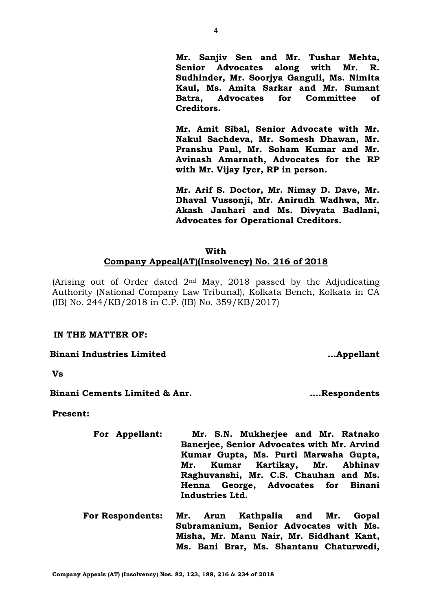4

**Mr. Sanjiv Sen and Mr. Tushar Mehta, Senior Advocates along with Mr. R. Sudhinder, Mr. Soorjya Ganguli, Ms. Nimita Kaul, Ms. Amita Sarkar and Mr. Sumant Batra, Advocates for Committee of Creditors.** 

**Mr. Amit Sibal, Senior Advocate with Mr. Nakul Sachdeva, Mr. Somesh Dhawan, Mr. Pranshu Paul, Mr. Soham Kumar and Mr. Avinash Amarnath, Advocates for the RP with Mr. Vijay Iyer, RP in person.**

**Mr. Arif S. Doctor, Mr. Nimay D. Dave, Mr. Dhaval Vussonji, Mr. Anirudh Wadhwa, Mr. Akash Jauhari and Ms. Divyata Badlani, Advocates for Operational Creditors.**

# **With Company Appeal(AT)(Insolvency) No. 216 of 2018**

(Arising out of Order dated  $2<sup>nd</sup>$  May, 2018 passed by the Adjudicating Authority (National Company Law Tribunal), Kolkata Bench, Kolkata in CA (IB) No. 244/KB/2018 in C.P. (IB) No. 359/KB/2017)

# **IN THE MATTER OF:**

**Binani Industries Limited …Appellant**

**Vs**

**Binani Cements Limited & Anr. ….Respondents**

**Present:**

- **For Appellant: Mr. S.N. Mukherjee and Mr. Ratnako Banerjee, Senior Advocates with Mr. Arvind Kumar Gupta, Ms. Purti Marwaha Gupta, Mr. Kumar Kartikay, Mr. Abhinav Raghuvanshi, Mr. C.S. Chauhan and Ms. Henna George, Advocates for Binani Industries Ltd.**
- **For Respondents: Mr. Arun Kathpalia and Mr. Gopal Subramanium, Senior Advocates with Ms. Misha, Mr. Manu Nair, Mr. Siddhant Kant, Ms. Bani Brar, Ms. Shantanu Chaturwedi,**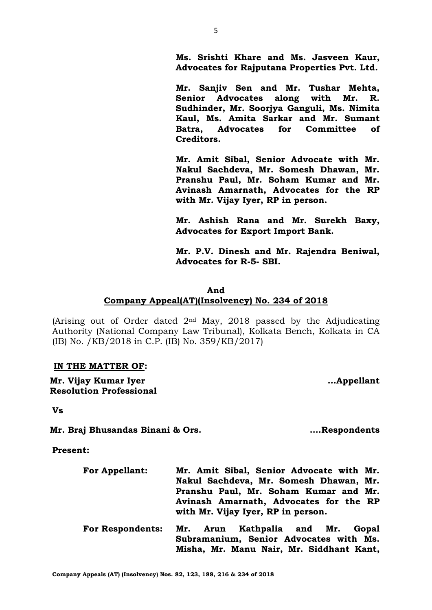**Company Appeals (AT) (Insolvency) Nos. 82, 123, 188, 216 & 234 of 2018**

**Ms. Srishti Khare and Ms. Jasveen Kaur, Advocates for Rajputana Properties Pvt. Ltd.**

**Mr. Sanjiv Sen and Mr. Tushar Mehta, Senior Advocates along with Mr. R. Sudhinder, Mr. Soorjya Ganguli, Ms. Nimita Kaul, Ms. Amita Sarkar and Mr. Sumant Batra, Advocates for Committee of Creditors.** 

**Mr. Amit Sibal, Senior Advocate with Mr. Nakul Sachdeva, Mr. Somesh Dhawan, Mr. Pranshu Paul, Mr. Soham Kumar and Mr. Avinash Amarnath, Advocates for the RP with Mr. Vijay Iyer, RP in person.**

**Mr. Ashish Rana and Mr. Surekh Baxy, Advocates for Export Import Bank.**

**Mr. P.V. Dinesh and Mr. Rajendra Beniwal, Advocates for R-5- SBI.**

# **And**

# **Company Appeal(AT)(Insolvency) No. 234 of 2018**

(Arising out of Order dated  $2<sup>nd</sup>$  May, 2018 passed by the Adjudicating Authority (National Company Law Tribunal), Kolkata Bench, Kolkata in CA (IB) No. /KB/2018 in C.P. (IB) No. 359/KB/2017)

# **IN THE MATTER OF:**

**Mr. Vijay Kumar Iyer Resolution Professional** 

**Vs**

**Mr. Braj Bhusandas Binani & Ors. ….Respondents**

**Present:**

**For Appellant: Mr. Amit Sibal, Senior Advocate with Mr. Nakul Sachdeva, Mr. Somesh Dhawan, Mr. Pranshu Paul, Mr. Soham Kumar and Mr. Avinash Amarnath, Advocates for the RP with Mr. Vijay Iyer, RP in person. For Respondents: Mr. Arun Kathpalia and Mr. Gopal Subramanium, Senior Advocates with Ms. Misha, Mr. Manu Nair, Mr. Siddhant Kant,** 

**…Appellant**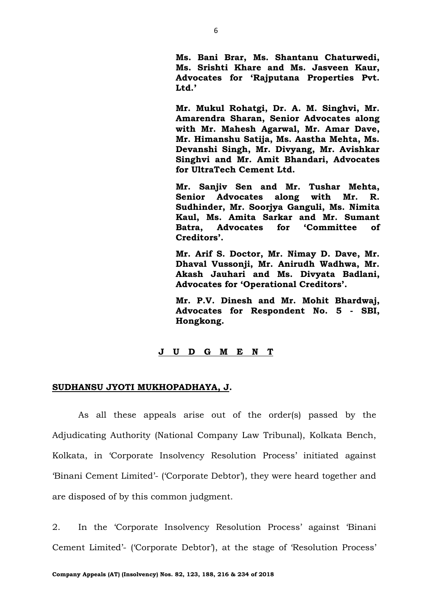**Ms. Bani Brar, Ms. Shantanu Chaturwedi, Ms. Srishti Khare and Ms. Jasveen Kaur, Advocates for 'Rajputana Properties Pvt. Ltd.'**

**Mr. Mukul Rohatgi, Dr. A. M. Singhvi, Mr. Amarendra Sharan, Senior Advocates along with Mr. Mahesh Agarwal, Mr. Amar Dave, Mr. Himanshu Satija, Ms. Aastha Mehta, Ms. Devanshi Singh, Mr. Divyang, Mr. Avishkar Singhvi and Mr. Amit Bhandari, Advocates for UltraTech Cement Ltd.**

**Mr. Sanjiv Sen and Mr. Tushar Mehta, Senior Advocates along with Mr. R. Sudhinder, Mr. Soorjya Ganguli, Ms. Nimita Kaul, Ms. Amita Sarkar and Mr. Sumant Batra, Advocates for 'Committee of Creditors'.** 

**Mr. Arif S. Doctor, Mr. Nimay D. Dave, Mr. Dhaval Vussonji, Mr. Anirudh Wadhwa, Mr. Akash Jauhari and Ms. Divyata Badlani, Advocates for 'Operational Creditors'.**

**Mr. P.V. Dinesh and Mr. Mohit Bhardwaj, Advocates for Respondent No. 5 - SBI, Hongkong.**

#### **J U D G M E N T**

#### **SUDHANSU JYOTI MUKHOPADHAYA, J.**

As all these appeals arise out of the order(s) passed by the Adjudicating Authority (National Company Law Tribunal), Kolkata Bench, Kolkata, in 'Corporate Insolvency Resolution Process' initiated against 'Binani Cement Limited'- ('Corporate Debtor'), they were heard together and are disposed of by this common judgment.

2. In the 'Corporate Insolvency Resolution Process' against 'Binani Cement Limited'- ('Corporate Debtor'), at the stage of 'Resolution Process'

6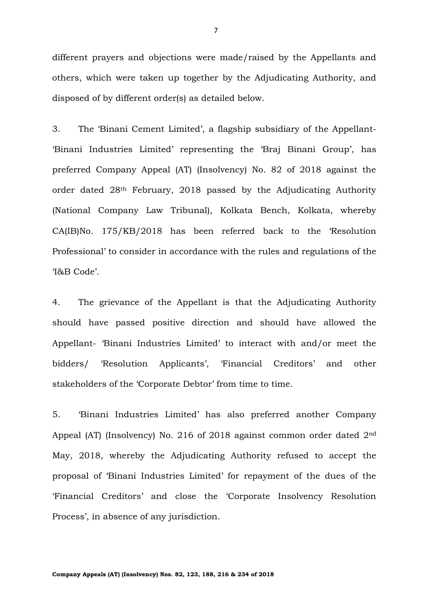different prayers and objections were made/raised by the Appellants and others, which were taken up together by the Adjudicating Authority, and disposed of by different order(s) as detailed below.

3. The 'Binani Cement Limited', a flagship subsidiary of the Appellant- 'Binani Industries Limited' representing the 'Braj Binani Group', has preferred Company Appeal (AT) (Insolvency) No. 82 of 2018 against the order dated 28th February, 2018 passed by the Adjudicating Authority (National Company Law Tribunal), Kolkata Bench, Kolkata, whereby CA(IB)No. 175/KB/2018 has been referred back to the 'Resolution Professional' to consider in accordance with the rules and regulations of the 'I&B Code'.

4. The grievance of the Appellant is that the Adjudicating Authority should have passed positive direction and should have allowed the Appellant- 'Binani Industries Limited' to interact with and/or meet the bidders/ 'Resolution Applicants', 'Financial Creditors' and other stakeholders of the 'Corporate Debtor' from time to time.

5. 'Binani Industries Limited' has also preferred another Company Appeal (AT) (Insolvency) No. 216 of 2018 against common order dated 2nd May, 2018, whereby the Adjudicating Authority refused to accept the proposal of 'Binani Industries Limited' for repayment of the dues of the 'Financial Creditors' and close the 'Corporate Insolvency Resolution Process', in absence of any jurisdiction.

7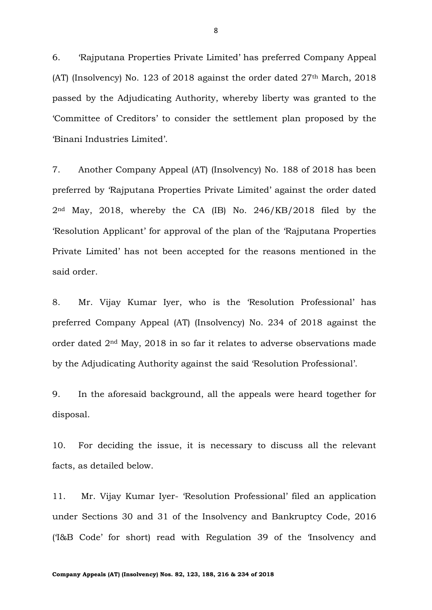6. 'Rajputana Properties Private Limited' has preferred Company Appeal (AT) (Insolvency) No. 123 of 2018 against the order dated  $27<sup>th</sup>$  March, 2018 passed by the Adjudicating Authority, whereby liberty was granted to the 'Committee of Creditors' to consider the settlement plan proposed by the 'Binani Industries Limited'.

7. Another Company Appeal (AT) (Insolvency) No. 188 of 2018 has been preferred by 'Rajputana Properties Private Limited' against the order dated 2nd May, 2018, whereby the CA (IB) No. 246/KB/2018 filed by the 'Resolution Applicant' for approval of the plan of the 'Rajputana Properties Private Limited' has not been accepted for the reasons mentioned in the said order.

8. Mr. Vijay Kumar Iyer, who is the 'Resolution Professional' has preferred Company Appeal (AT) (Insolvency) No. 234 of 2018 against the order dated 2nd May, 2018 in so far it relates to adverse observations made by the Adjudicating Authority against the said 'Resolution Professional'.

9. In the aforesaid background, all the appeals were heard together for disposal.

10. For deciding the issue, it is necessary to discuss all the relevant facts, as detailed below.

11. Mr. Vijay Kumar Iyer- 'Resolution Professional' filed an application under Sections 30 and 31 of the Insolvency and Bankruptcy Code, 2016 ('I&B Code' for short) read with Regulation 39 of the 'Insolvency and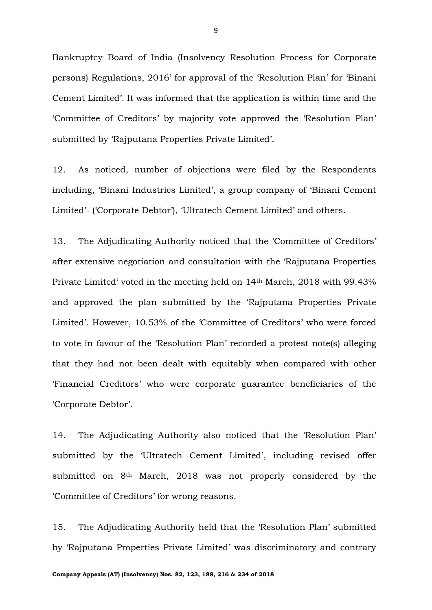Bankruptcy Board of India (Insolvency Resolution Process for Corporate persons) Regulations, 2016' for approval of the 'Resolution Plan' for 'Binani Cement Limited'. It was informed that the application is within time and the 'Committee of Creditors' by majority vote approved the 'Resolution Plan' submitted by 'Rajputana Properties Private Limited'.

12. As noticed, number of objections were filed by the Respondents including, 'Binani Industries Limited', a group company of 'Binani Cement Limited'- ('Corporate Debtor'), 'Ultratech Cement Limited' and others.

13. The Adjudicating Authority noticed that the 'Committee of Creditors' after extensive negotiation and consultation with the 'Rajputana Properties Private Limited' voted in the meeting held on 14th March, 2018 with 99.43% and approved the plan submitted by the 'Rajputana Properties Private Limited'. However, 10.53% of the 'Committee of Creditors' who were forced to vote in favour of the 'Resolution Plan' recorded a protest note(s) alleging that they had not been dealt with equitably when compared with other 'Financial Creditors' who were corporate guarantee beneficiaries of the 'Corporate Debtor'.

14. The Adjudicating Authority also noticed that the 'Resolution Plan' submitted by the 'Ultratech Cement Limited', including revised offer submitted on 8<sup>th</sup> March, 2018 was not properly considered by the 'Committee of Creditors' for wrong reasons.

15. The Adjudicating Authority held that the 'Resolution Plan' submitted by 'Rajputana Properties Private Limited' was discriminatory and contrary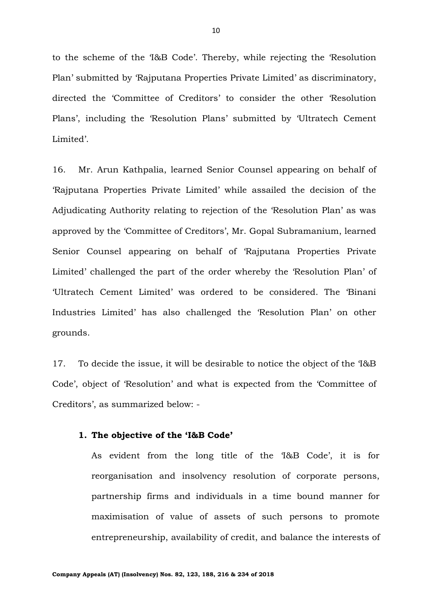to the scheme of the 'I&B Code'. Thereby, while rejecting the 'Resolution Plan' submitted by 'Rajputana Properties Private Limited' as discriminatory, directed the 'Committee of Creditors' to consider the other 'Resolution Plans', including the 'Resolution Plans' submitted by 'Ultratech Cement Limited'.

16. Mr. Arun Kathpalia, learned Senior Counsel appearing on behalf of 'Rajputana Properties Private Limited' while assailed the decision of the Adjudicating Authority relating to rejection of the 'Resolution Plan' as was approved by the 'Committee of Creditors', Mr. Gopal Subramanium, learned Senior Counsel appearing on behalf of 'Rajputana Properties Private Limited' challenged the part of the order whereby the 'Resolution Plan' of 'Ultratech Cement Limited' was ordered to be considered. The 'Binani Industries Limited' has also challenged the 'Resolution Plan' on other grounds.

17. To decide the issue, it will be desirable to notice the object of the 'I&B Code', object of 'Resolution' and what is expected from the 'Committee of Creditors', as summarized below: -

#### **1. The objective of the 'I&B Code'**

As evident from the long title of the 'I&B Code', it is for reorganisation and insolvency resolution of corporate persons, partnership firms and individuals in a time bound manner for maximisation of value of assets of such persons to promote entrepreneurship, availability of credit, and balance the interests of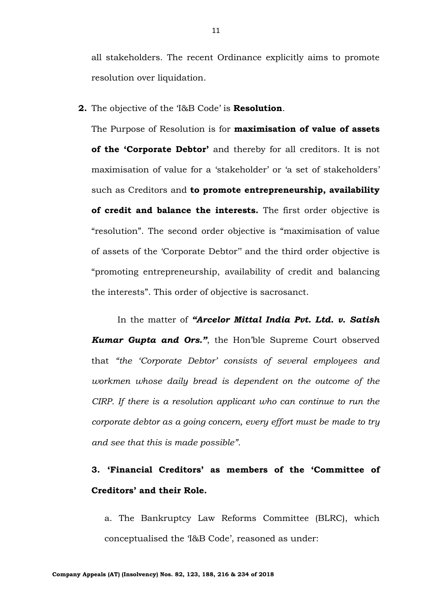all stakeholders. The recent Ordinance explicitly aims to promote resolution over liquidation.

**2.** The objective of the 'I&B Code' is **Resolution**.

The Purpose of Resolution is for **maximisation of value of assets of the 'Corporate Debtor'** and thereby for all creditors. It is not maximisation of value for a 'stakeholder' or 'a set of stakeholders' such as Creditors and **to promote entrepreneurship, availability of credit and balance the interests.** The first order objective is "resolution". The second order objective is "maximisation of value of assets of the 'Corporate Debtor'' and the third order objective is "promoting entrepreneurship, availability of credit and balancing the interests". This order of objective is sacrosanct.

In the matter of *"Arcelor Mittal India Pvt. Ltd. v. Satish Kumar Gupta and Ors."*, the Hon'ble Supreme Court observed that *"the 'Corporate Debtor' consists of several employees and workmen whose daily bread is dependent on the outcome of the CIRP. If there is a resolution applicant who can continue to run the corporate debtor as a going concern, every effort must be made to try and see that this is made possible".*

**3. 'Financial Creditors' as members of the 'Committee of Creditors' and their Role.**

a. The Bankruptcy Law Reforms Committee (BLRC), which conceptualised the 'I&B Code', reasoned as under: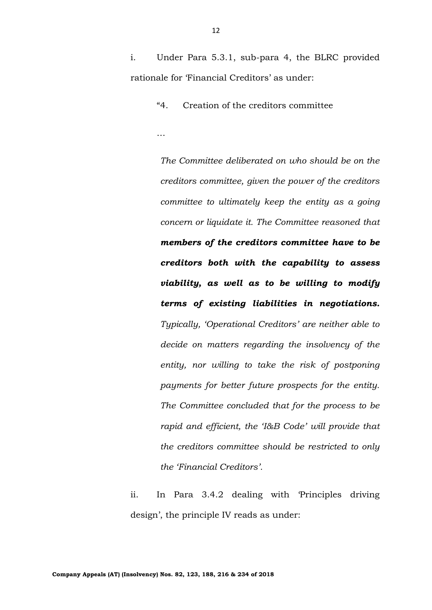i. Under Para 5.3.1, sub-para 4, the BLRC provided rationale for 'Financial Creditors' as under:

"4. Creation of the creditors committee

…

*The Committee deliberated on who should be on the creditors committee, given the power of the creditors committee to ultimately keep the entity as a going concern or liquidate it. The Committee reasoned that members of the creditors committee have to be creditors both with the capability to assess viability, as well as to be willing to modify terms of existing liabilities in negotiations. Typically, 'Operational Creditors' are neither able to decide on matters regarding the insolvency of the entity, nor willing to take the risk of postponing payments for better future prospects for the entity. The Committee concluded that for the process to be rapid and efficient, the 'I&B Code' will provide that the creditors committee should be restricted to only the 'Financial Creditors'.*

ii. In Para 3.4.2 dealing with 'Principles driving design', the principle IV reads as under: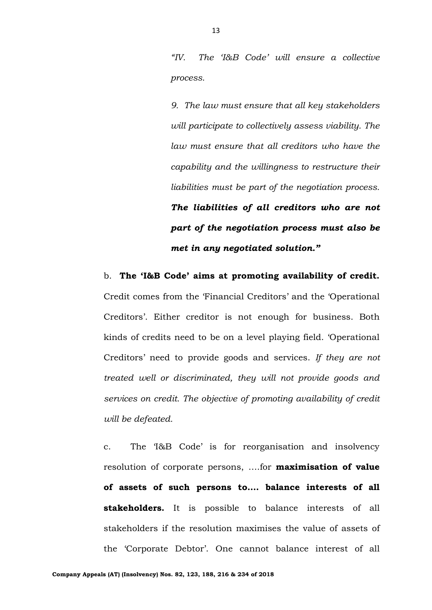*"IV. The 'I&B Code' will ensure a collective process.*

*9. The law must ensure that all key stakeholders will participate to collectively assess viability. The law must ensure that all creditors who have the capability and the willingness to restructure their liabilities must be part of the negotiation process. The liabilities of all creditors who are not part of the negotiation process must also be met in any negotiated solution."*

b. **The 'I&B Code' aims at promoting availability of credit.**  Credit comes from the 'Financial Creditors' and the 'Operational Creditors'. Either creditor is not enough for business. Both kinds of credits need to be on a level playing field. 'Operational Creditors' need to provide goods and services. *If they are not treated well or discriminated, they will not provide goods and services on credit. The objective of promoting availability of credit will be defeated.*

c. The 'I&B Code' is for reorganisation and insolvency resolution of corporate persons, ….for **maximisation of value of assets of such persons to…. balance interests of all stakeholders.** It is possible to balance interests of all stakeholders if the resolution maximises the value of assets of the 'Corporate Debtor'. One cannot balance interest of all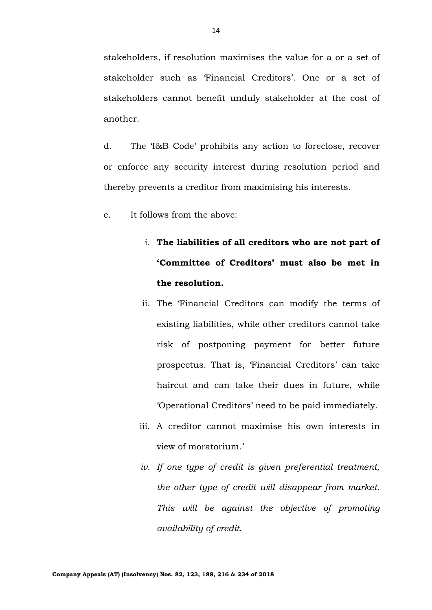stakeholder such as 'Financial Creditors'. One or a set of stakeholders cannot benefit unduly stakeholder at the cost of another.

d. The 'I&B Code' prohibits any action to foreclose, recover or enforce any security interest during resolution period and thereby prevents a creditor from maximising his interests.

e. It follows from the above:

# i. **The liabilities of all creditors who are not part of 'Committee of Creditors' must also be met in the resolution.**

- ii. The 'Financial Creditors can modify the terms of existing liabilities, while other creditors cannot take risk of postponing payment for better future prospectus. That is, 'Financial Creditors' can take haircut and can take their dues in future, while 'Operational Creditors' need to be paid immediately.
- iii. A creditor cannot maximise his own interests in view of moratorium.'
- *iv. If one type of credit is given preferential treatment, the other type of credit will disappear from market. This will be against the objective of promoting availability of credit.*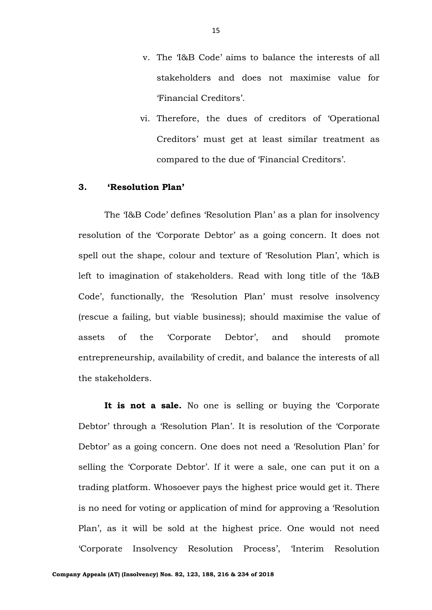- v. The 'I&B Code' aims to balance the interests of all stakeholders and does not maximise value for 'Financial Creditors'.
- vi. Therefore, the dues of creditors of 'Operational Creditors' must get at least similar treatment as compared to the due of 'Financial Creditors'.

# **3. 'Resolution Plan'**

The 'I&B Code' defines 'Resolution Plan' as a plan for insolvency resolution of the 'Corporate Debtor' as a going concern. It does not spell out the shape, colour and texture of 'Resolution Plan', which is left to imagination of stakeholders. Read with long title of the 'I&B Code', functionally, the 'Resolution Plan' must resolve insolvency (rescue a failing, but viable business); should maximise the value of assets of the 'Corporate Debtor', and should promote entrepreneurship, availability of credit, and balance the interests of all the stakeholders.

**It is not a sale.** No one is selling or buying the 'Corporate Debtor' through a 'Resolution Plan'. It is resolution of the 'Corporate Debtor' as a going concern. One does not need a 'Resolution Plan' for selling the 'Corporate Debtor'. If it were a sale, one can put it on a trading platform. Whosoever pays the highest price would get it. There is no need for voting or application of mind for approving a 'Resolution Plan', as it will be sold at the highest price. One would not need 'Corporate Insolvency Resolution Process', 'Interim Resolution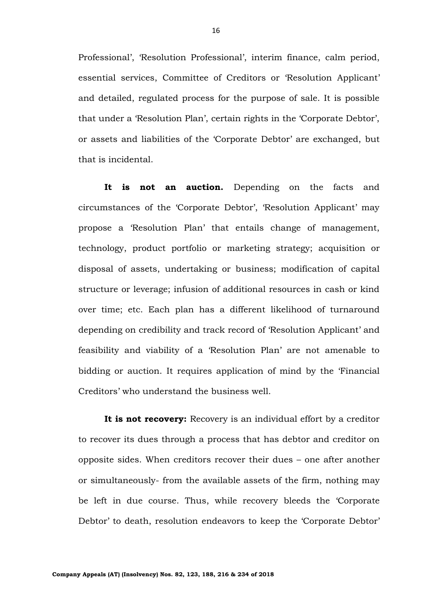Professional', 'Resolution Professional', interim finance, calm period, essential services, Committee of Creditors or 'Resolution Applicant' and detailed, regulated process for the purpose of sale. It is possible that under a 'Resolution Plan', certain rights in the 'Corporate Debtor', or assets and liabilities of the 'Corporate Debtor' are exchanged, but that is incidental.

**It is not an auction.** Depending on the facts and circumstances of the 'Corporate Debtor', 'Resolution Applicant' may propose a 'Resolution Plan' that entails change of management, technology, product portfolio or marketing strategy; acquisition or disposal of assets, undertaking or business; modification of capital structure or leverage; infusion of additional resources in cash or kind over time; etc. Each plan has a different likelihood of turnaround depending on credibility and track record of 'Resolution Applicant' and feasibility and viability of a 'Resolution Plan' are not amenable to bidding or auction. It requires application of mind by the 'Financial Creditors' who understand the business well.

It is not recovery: Recovery is an individual effort by a creditor to recover its dues through a process that has debtor and creditor on opposite sides. When creditors recover their dues – one after another or simultaneously- from the available assets of the firm, nothing may be left in due course. Thus, while recovery bleeds the 'Corporate Debtor' to death, resolution endeavors to keep the 'Corporate Debtor'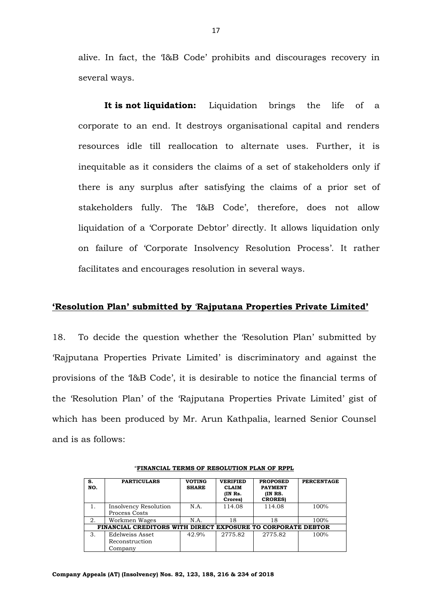alive. In fact, the 'I&B Code' prohibits and discourages recovery in several ways.

**It is not liquidation:** Liquidation brings the life of a corporate to an end. It destroys organisational capital and renders resources idle till reallocation to alternate uses. Further, it is inequitable as it considers the claims of a set of stakeholders only if there is any surplus after satisfying the claims of a prior set of stakeholders fully. The 'I&B Code', therefore, does not allow liquidation of a 'Corporate Debtor' directly. It allows liquidation only on failure of 'Corporate Insolvency Resolution Process'. It rather facilitates and encourages resolution in several ways.

### **'Resolution Plan' submitted by** '**Rajputana Properties Private Limited'**

18. To decide the question whether the 'Resolution Plan' submitted by 'Rajputana Properties Private Limited' is discriminatory and against the provisions of the 'I&B Code', it is desirable to notice the financial terms of the 'Resolution Plan' of the 'Rajputana Properties Private Limited' gist of which has been produced by Mr. Arun Kathpalia, learned Senior Counsel and is as follows:

| s.<br>NO.                                                    | <b>PARTICULARS</b>                           | <b>VOTING</b><br><b>SHARE</b> | <b>VERIFIED</b><br><b>CLAIM</b><br>(IN Rs.<br>Crores) | <b>PROPOSED</b><br><b>PAYMENT</b><br>(IN RS.<br><b>CRORES</b> | <b>PERCENTAGE</b> |
|--------------------------------------------------------------|----------------------------------------------|-------------------------------|-------------------------------------------------------|---------------------------------------------------------------|-------------------|
|                                                              | Insolvency Resolution<br>Process Costs       | N.A.                          | 114.08                                                | 114.08                                                        | 100%              |
| 2.                                                           | Workmen Wages                                | N.A.                          | 18                                                    | 18                                                            | 100%              |
| FINANCIAL CREDITORS WITH DIRECT EXPOSURE TO CORPORATE DEBTOR |                                              |                               |                                                       |                                                               |                   |
| 3.                                                           | Edelweiss Asset<br>Reconstruction<br>Company | 42.9%                         | 2775.82                                               | 2775.82                                                       | 100%              |

"**FINANCIAL TERMS OF RESOLUTION PLAN OF RPPL**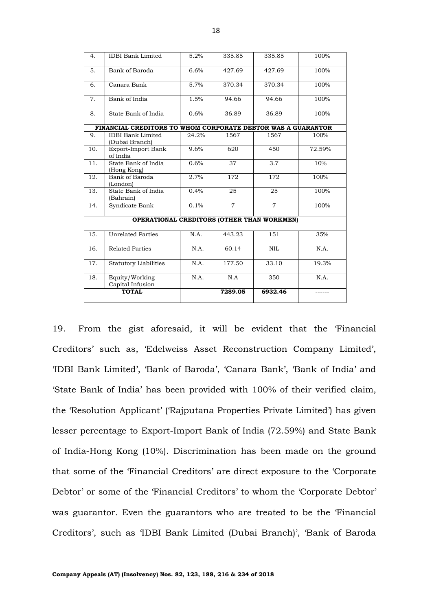| 4.  | <b>IDBI</b> Bank Limited                                     | 5.2%  | 335.85         | 335.85                                            | 100%   |
|-----|--------------------------------------------------------------|-------|----------------|---------------------------------------------------|--------|
| 5.  | Bank of Baroda                                               | 6.6%  | 427.69         | 427.69                                            | 100%   |
| 6.  | Canara Bank                                                  | 5.7%  | 370.34         | 370.34                                            | 100%   |
| 7.  | Bank of India                                                | 1.5%  | 94.66          | 94.66                                             | 100%   |
| 8.  | State Bank of India                                          | 0.6%  | 36.89          | 36.89                                             | 100%   |
|     | FINANCIAL CREDITORS TO WHOM CORPORATE DEBTOR WAS A GUARANTOR |       |                |                                                   |        |
| 9.  | <b>IDBI</b> Bank Limited<br>(Dubai Branch)                   | 24.2% | 1567           | 1567                                              | 100%   |
| 10. | Export-Import Bank<br>of India                               | 9.6%  | 620            | 450                                               | 72.59% |
| 11. | State Bank of India<br>(Hong Kong)                           | 0.6%  | 37             | 3.7                                               | 10%    |
| 12. | Bank of Baroda<br>(London)                                   | 2.7%  | 172            | 172                                               | 100%   |
| 13. | State Bank of India<br>(Bahrain)                             | 0.4%  | 25             | 25                                                | 100%   |
| 14. | Syndicate Bank                                               | 0.1%  | $\overline{7}$ | $\overline{7}$                                    | 100%   |
|     |                                                              |       |                | <b>OPERATIONAL CREDITORS (OTHER THAN WORKMEN)</b> |        |
| 15. | <b>Unrelated Parties</b>                                     | N.A.  | 443.23         | 151                                               | 35%    |
| 16. | <b>Related Parties</b>                                       | N.A.  | 60.14          | <b>NIL</b>                                        | N.A.   |
| 17. | <b>Statutory Liabilities</b>                                 | N.A.  | 177.50         | 33.10                                             | 19.3%  |
| 18. | Equity/Working<br>Capital Infusion                           | N.A.  | N.A            | 350                                               | N.A.   |
|     | <b>TOTAL</b>                                                 |       | 7289.05        | 6932.46                                           |        |
|     |                                                              |       |                |                                                   |        |

19. From the gist aforesaid, it will be evident that the 'Financial Creditors' such as, 'Edelweiss Asset Reconstruction Company Limited', 'IDBI Bank Limited', 'Bank of Baroda', 'Canara Bank', 'Bank of India' and 'State Bank of India' has been provided with 100% of their verified claim, the 'Resolution Applicant' ('Rajputana Properties Private Limited') has given lesser percentage to Export-Import Bank of India (72.59%) and State Bank of India-Hong Kong (10%). Discrimination has been made on the ground that some of the 'Financial Creditors' are direct exposure to the 'Corporate Debtor' or some of the 'Financial Creditors' to whom the 'Corporate Debtor' was guarantor. Even the guarantors who are treated to be the 'Financial Creditors', such as 'IDBI Bank Limited (Dubai Branch)', 'Bank of Baroda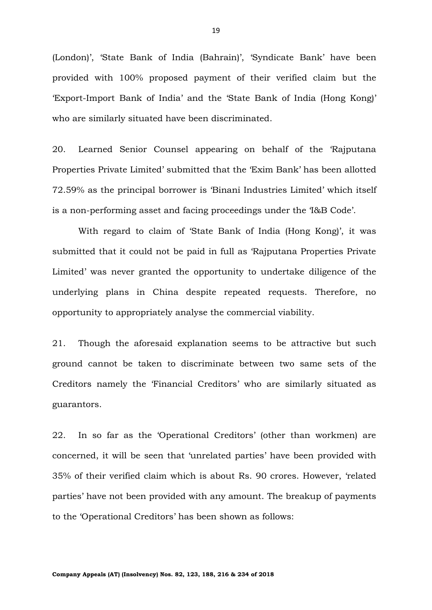(London)', 'State Bank of India (Bahrain)', 'Syndicate Bank' have been provided with 100% proposed payment of their verified claim but the 'Export-Import Bank of India' and the 'State Bank of India (Hong Kong)' who are similarly situated have been discriminated.

20. Learned Senior Counsel appearing on behalf of the 'Rajputana Properties Private Limited' submitted that the 'Exim Bank' has been allotted 72.59% as the principal borrower is 'Binani Industries Limited' which itself is a non-performing asset and facing proceedings under the 'I&B Code'.

With regard to claim of 'State Bank of India (Hong Kong)', it was submitted that it could not be paid in full as 'Rajputana Properties Private Limited' was never granted the opportunity to undertake diligence of the underlying plans in China despite repeated requests. Therefore, no opportunity to appropriately analyse the commercial viability.

21. Though the aforesaid explanation seems to be attractive but such ground cannot be taken to discriminate between two same sets of the Creditors namely the 'Financial Creditors' who are similarly situated as guarantors.

22. In so far as the 'Operational Creditors' (other than workmen) are concerned, it will be seen that 'unrelated parties' have been provided with 35% of their verified claim which is about Rs. 90 crores. However, 'related parties' have not been provided with any amount. The breakup of payments to the 'Operational Creditors' has been shown as follows: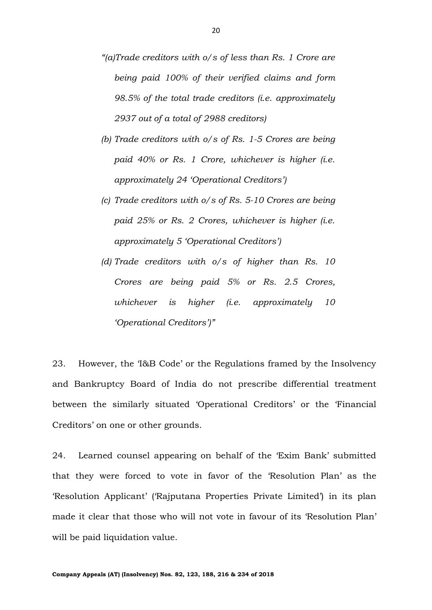- *"(a)Trade creditors with o/s of less than Rs. 1 Crore are being paid 100% of their verified claims and form 98.5% of the total trade creditors (i.e. approximately 2937 out of a total of 2988 creditors)*
- *(b) Trade creditors with o/s of Rs. 1-5 Crores are being paid 40% or Rs. 1 Crore, whichever is higher (i.e. approximately 24 'Operational Creditors')*
- *(c) Trade creditors with o/s of Rs. 5-10 Crores are being paid 25% or Rs. 2 Crores, whichever is higher (i.e. approximately 5 'Operational Creditors')*
- *(d) Trade creditors with o/s of higher than Rs. 10 Crores are being paid 5% or Rs. 2.5 Crores, whichever is higher (i.e. approximately 10 'Operational Creditors')"*

23. However, the 'I&B Code' or the Regulations framed by the Insolvency and Bankruptcy Board of India do not prescribe differential treatment between the similarly situated 'Operational Creditors' or the 'Financial Creditors' on one or other grounds.

24. Learned counsel appearing on behalf of the 'Exim Bank' submitted that they were forced to vote in favor of the 'Resolution Plan' as the 'Resolution Applicant' ('Rajputana Properties Private Limited') in its plan made it clear that those who will not vote in favour of its 'Resolution Plan' will be paid liquidation value.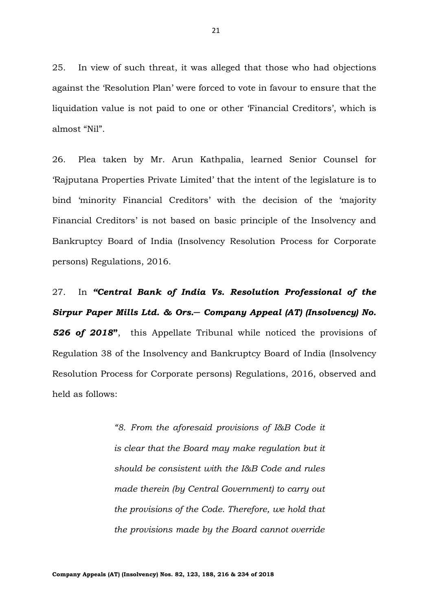25. In view of such threat, it was alleged that those who had objections against the 'Resolution Plan' were forced to vote in favour to ensure that the liquidation value is not paid to one or other 'Financial Creditors', which is almost "Nil".

26. Plea taken by Mr. Arun Kathpalia, learned Senior Counsel for 'Rajputana Properties Private Limited' that the intent of the legislature is to bind 'minority Financial Creditors' with the decision of the 'majority Financial Creditors' is not based on basic principle of the Insolvency and Bankruptcy Board of India (Insolvency Resolution Process for Corporate persons) Regulations, 2016.

27. In *"Central Bank of India Vs. Resolution Professional of the Sirpur Paper Mills Ltd. & Ors.─ Company Appeal (AT) (Insolvency) No. 526 of 2018***"**, this Appellate Tribunal while noticed the provisions of Regulation 38 of the Insolvency and Bankruptcy Board of India (Insolvency Resolution Process for Corporate persons) Regulations, 2016, observed and held as follows:

> *"8. From the aforesaid provisions of I&B Code it is clear that the Board may make regulation but it should be consistent with the I&B Code and rules made therein (by Central Government) to carry out the provisions of the Code. Therefore, we hold that the provisions made by the Board cannot override*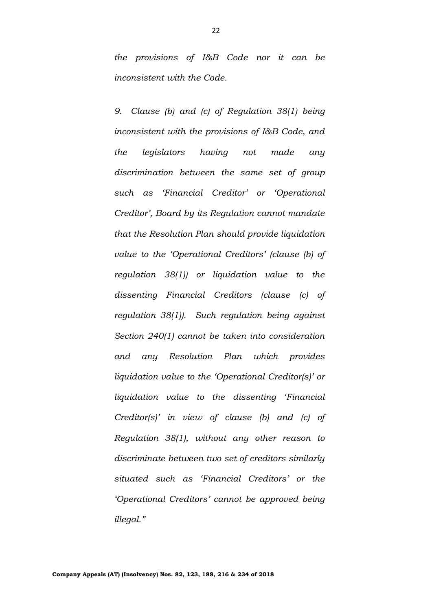*the provisions of I&B Code nor it can be inconsistent with the Code.*

*9. Clause (b) and (c) of Regulation 38(1) being inconsistent with the provisions of I&B Code, and the legislators having not made any discrimination between the same set of group such as 'Financial Creditor' or 'Operational Creditor', Board by its Regulation cannot mandate that the Resolution Plan should provide liquidation value to the 'Operational Creditors' (clause (b) of regulation 38(1)) or liquidation value to the dissenting Financial Creditors (clause (c) of regulation 38(1)). Such regulation being against Section 240(1) cannot be taken into consideration and any Resolution Plan which provides liquidation value to the 'Operational Creditor(s)' or liquidation value to the dissenting 'Financial Creditor(s)' in view of clause (b) and (c) of Regulation 38(1), without any other reason to discriminate between two set of creditors similarly situated such as 'Financial Creditors' or the 'Operational Creditors' cannot be approved being illegal."*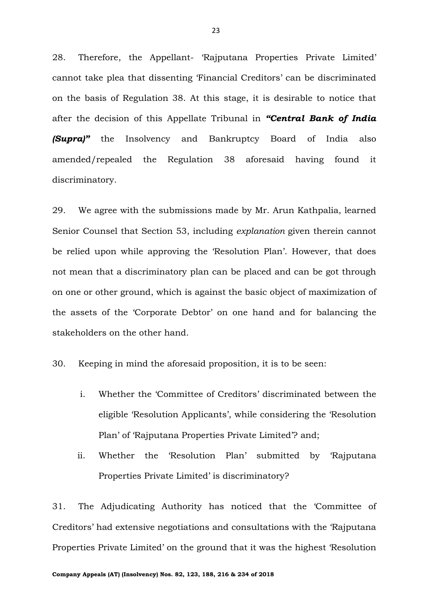28. Therefore, the Appellant- 'Rajputana Properties Private Limited' cannot take plea that dissenting 'Financial Creditors' can be discriminated on the basis of Regulation 38. At this stage, it is desirable to notice that after the decision of this Appellate Tribunal in *"Central Bank of India (Supra)* the Insolvency and Bankruptcy Board of India also amended/repealed the Regulation 38 aforesaid having found it discriminatory.

29. We agree with the submissions made by Mr. Arun Kathpalia, learned Senior Counsel that Section 53, including *explanation* given therein cannot be relied upon while approving the 'Resolution Plan'. However, that does not mean that a discriminatory plan can be placed and can be got through on one or other ground, which is against the basic object of maximization of the assets of the 'Corporate Debtor' on one hand and for balancing the stakeholders on the other hand.

30. Keeping in mind the aforesaid proposition, it is to be seen:

- i. Whether the 'Committee of Creditors' discriminated between the eligible 'Resolution Applicants', while considering the 'Resolution Plan' of 'Rajputana Properties Private Limited'? and;
- ii. Whether the 'Resolution Plan' submitted by 'Rajputana Properties Private Limited' is discriminatory?

31. The Adjudicating Authority has noticed that the 'Committee of Creditors' had extensive negotiations and consultations with the 'Rajputana Properties Private Limited' on the ground that it was the highest 'Resolution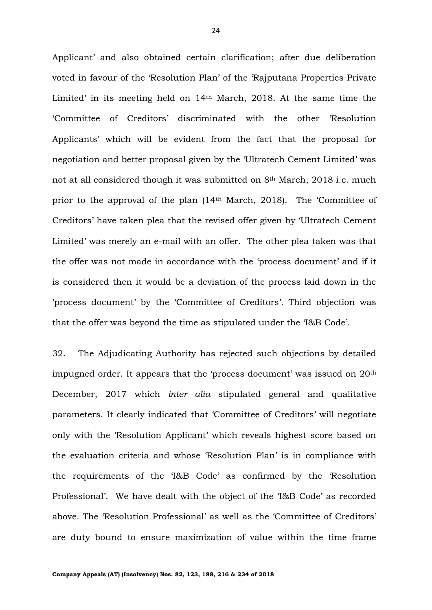Applicant' and also obtained certain clarification; after due deliberation voted in favour of the 'Resolution Plan' of the 'Rajputana Properties Private Limited' in its meeting held on 14th March, 2018. At the same time the 'Committee of Creditors' discriminated with the other 'Resolution Applicants' which will be evident from the fact that the proposal for negotiation and better proposal given by the 'Ultratech Cement Limited' was not at all considered though it was submitted on 8<sup>th</sup> March, 2018 i.e. much prior to the approval of the plan (14th March, 2018). The 'Committee of Creditors' have taken plea that the revised offer given by 'Ultratech Cement Limited' was merely an e-mail with an offer. The other plea taken was that the offer was not made in accordance with the 'process document' and if it is considered then it would be a deviation of the process laid down in the 'process document' by the 'Committee of Creditors'. Third objection was that the offer was beyond the time as stipulated under the 'I&B Code'.

32. The Adjudicating Authority has rejected such objections by detailed impugned order. It appears that the 'process document' was issued on 20th December, 2017 which *inter alia* stipulated general and qualitative parameters. It clearly indicated that 'Committee of Creditors' will negotiate only with the 'Resolution Applicant' which reveals highest score based on the evaluation criteria and whose 'Resolution Plan' is in compliance with the requirements of the 'I&B Code' as confirmed by the 'Resolution Professional'. We have dealt with the object of the 'I&B Code' as recorded above. The 'Resolution Professional' as well as the 'Committee of Creditors' are duty bound to ensure maximization of value within the time frame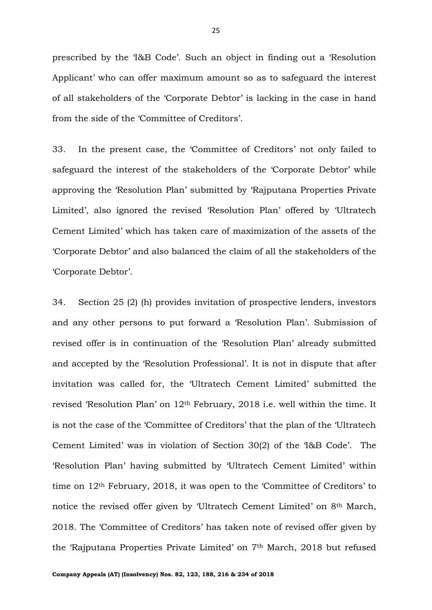prescribed by the 'I&B Code'. Such an object in finding out a 'Resolution Applicant' who can offer maximum amount so as to safeguard the interest of all stakeholders of the 'Corporate Debtor' is lacking in the case in hand from the side of the 'Committee of Creditors'.

33. In the present case, the 'Committee of Creditors' not only failed to safeguard the interest of the stakeholders of the 'Corporate Debtor' while approving the 'Resolution Plan' submitted by 'Rajputana Properties Private Limited', also ignored the revised 'Resolution Plan' offered by 'Ultratech Cement Limited' which has taken care of maximization of the assets of the 'Corporate Debtor' and also balanced the claim of all the stakeholders of the 'Corporate Debtor'.

34. Section 25 (2) (h) provides invitation of prospective lenders, investors and any other persons to put forward a 'Resolution Plan'. Submission of revised offer is in continuation of the 'Resolution Plan' already submitted and accepted by the 'Resolution Professional'. It is not in dispute that after invitation was called for, the 'Ultratech Cement Limited' submitted the revised 'Resolution Plan' on 12th February, 2018 i.e. well within the time. It is not the case of the 'Committee of Creditors' that the plan of the 'Ultratech Cement Limited' was in violation of Section 30(2) of the 'I&B Code'. The 'Resolution Plan' having submitted by 'Ultratech Cement Limited' within time on 12th February, 2018, it was open to the 'Committee of Creditors' to notice the revised offer given by 'Ultratech Cement Limited' on 8th March, 2018. The 'Committee of Creditors' has taken note of revised offer given by the 'Rajputana Properties Private Limited' on 7th March, 2018 but refused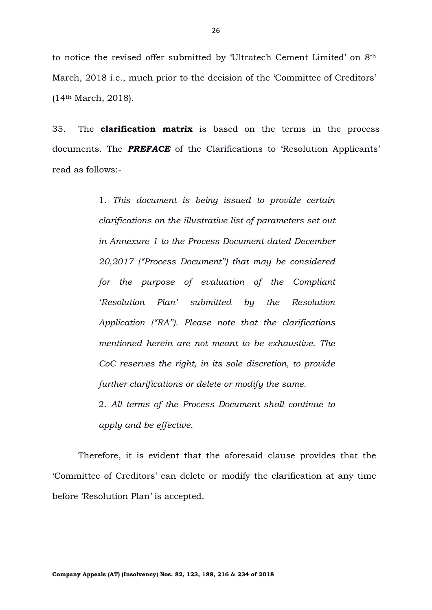to notice the revised offer submitted by 'Ultratech Cement Limited' on 8th March, 2018 i.e., much prior to the decision of the 'Committee of Creditors' (14th March, 2018).

35. The **clarification matrix** is based on the terms in the process documents. The *PREFACE* of the Clarifications to 'Resolution Applicants' read as follows:-

> 1. *This document is being issued to provide certain clarifications on the illustrative list of parameters set out in Annexure 1 to the Process Document dated December 20,2017 ("Process Document") that may be considered for the purpose of evaluation of the Compliant 'Resolution Plan' submitted by the Resolution Application ("RA"). Please note that the clarifications mentioned herein are not meant to be exhaustive. The CoC reserves the right, in its sole discretion, to provide further clarifications or delete or modify the same.*

> 2. *All terms of the Process Document shall continue to apply and be effective.*

Therefore, it is evident that the aforesaid clause provides that the 'Committee of Creditors' can delete or modify the clarification at any time before 'Resolution Plan' is accepted.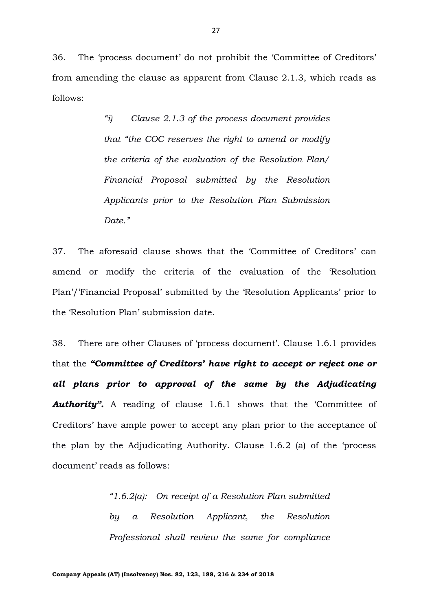36. The 'process document' do not prohibit the 'Committee of Creditors' from amending the clause as apparent from Clause 2.1.3, which reads as follows:

> *"i) Clause 2.1.3 of the process document provides that "the COC reserves the right to amend or modify the criteria of the evaluation of the Resolution Plan/ Financial Proposal submitted by the Resolution Applicants prior to the Resolution Plan Submission Date."*

37. The aforesaid clause shows that the 'Committee of Creditors' can amend or modify the criteria of the evaluation of the 'Resolution Plan'/'Financial Proposal' submitted by the 'Resolution Applicants' prior to the 'Resolution Plan' submission date.

38. There are other Clauses of 'process document'. Clause 1.6.1 provides that the *"Committee of Creditors' have right to accept or reject one or all plans prior to approval of the same by the Adjudicating*  **Authority".** A reading of clause 1.6.1 shows that the 'Committee of Creditors' have ample power to accept any plan prior to the acceptance of the plan by the Adjudicating Authority. Clause 1.6.2 (a) of the 'process document' reads as follows:

> *"1.6.2(a): On receipt of a Resolution Plan submitted by a Resolution Applicant, the Resolution Professional shall review the same for compliance*

**Company Appeals (AT) (Insolvency) Nos. 82, 123, 188, 216 & 234 of 2018**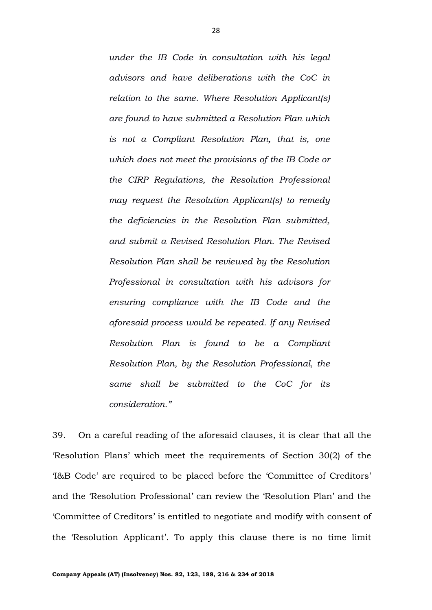*under the IB Code in consultation with his legal advisors and have deliberations with the CoC in relation to the same. Where Resolution Applicant(s) are found to have submitted a Resolution Plan which is not a Compliant Resolution Plan, that is, one which does not meet the provisions of the IB Code or the CIRP Regulations, the Resolution Professional may request the Resolution Applicant(s) to remedy the deficiencies in the Resolution Plan submitted, and submit a Revised Resolution Plan. The Revised Resolution Plan shall be reviewed by the Resolution Professional in consultation with his advisors for ensuring compliance with the IB Code and the aforesaid process would be repeated. If any Revised Resolution Plan is found to be a Compliant Resolution Plan, by the Resolution Professional, the same shall be submitted to the CoC for its consideration."*

39. On a careful reading of the aforesaid clauses, it is clear that all the 'Resolution Plans' which meet the requirements of Section 30(2) of the 'I&B Code' are required to be placed before the 'Committee of Creditors' and the 'Resolution Professional' can review the 'Resolution Plan' and the 'Committee of Creditors' is entitled to negotiate and modify with consent of the 'Resolution Applicant'. To apply this clause there is no time limit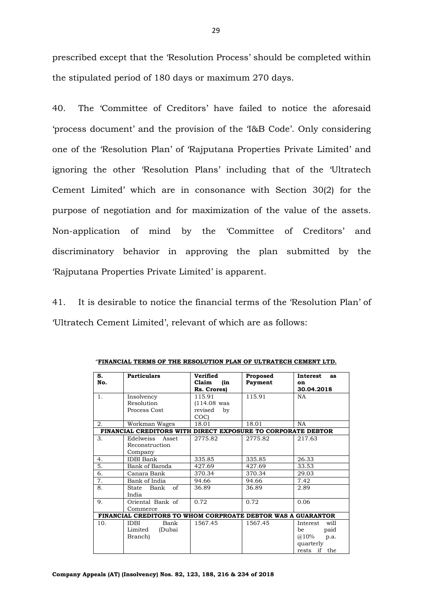prescribed except that the 'Resolution Process' should be completed within the stipulated period of 180 days or maximum 270 days.

40. The 'Committee of Creditors' have failed to notice the aforesaid 'process document' and the provision of the 'I&B Code'. Only considering one of the 'Resolution Plan' of 'Rajputana Properties Private Limited' and ignoring the other 'Resolution Plans' including that of the 'Ultratech Cement Limited' which are in consonance with Section 30(2) for the purpose of negotiation and for maximization of the value of the assets. Non-application of mind by the 'Committee of Creditors' and discriminatory behavior in approving the plan submitted by the 'Rajputana Properties Private Limited' is apparent.

41. It is desirable to notice the financial terms of the 'Resolution Plan' of 'Ultratech Cement Limited', relevant of which are as follows:

| S.                                                           | <b>Particulars</b>                                           | Verified      | Proposed | Interest<br>as   |  |  |
|--------------------------------------------------------------|--------------------------------------------------------------|---------------|----------|------------------|--|--|
| No.                                                          |                                                              | (in<br>Claim  | Payment  | on               |  |  |
|                                                              |                                                              | Rs. Crores)   |          | 30.04.2018       |  |  |
| 1.                                                           | Insolvency                                                   | 115.91        | 115.91   | <b>NA</b>        |  |  |
|                                                              | Resolution                                                   | $(114.08$ was |          |                  |  |  |
|                                                              | Process Cost                                                 | revised<br>by |          |                  |  |  |
|                                                              |                                                              | COC)          |          |                  |  |  |
| 2.                                                           | Workman Wages                                                | 18.01         | 18.01    | <b>NA</b>        |  |  |
|                                                              | FINANCIAL CREDITORS WITH DIRECT EXPOSURE TO CORPORATE DEBTOR |               |          |                  |  |  |
| 3.                                                           | Edelweiss Asset                                              | 2775.82       | 2775.82  | 217.63           |  |  |
|                                                              | Reconstruction                                               |               |          |                  |  |  |
|                                                              | Company                                                      |               |          |                  |  |  |
| 4.                                                           | <b>IDBI</b> Bank                                             | 335.85        | 335.85   | 26.33            |  |  |
| 5.                                                           | Bank of Baroda                                               | 427.69        | 427.69   | 33.53            |  |  |
| 6.                                                           | Canara Bank                                                  | 370.34        | 370.34   | 29.03            |  |  |
| 7.                                                           | Bank of India                                                | 94.66         | 94.66    | 7.42             |  |  |
| 8.                                                           | of<br>State<br>Bank                                          | 36.89         | 36.89    | 2.89             |  |  |
|                                                              | India                                                        |               |          |                  |  |  |
| 9.                                                           | Oriental Bank of                                             | 0.72          | 0.72     | 0.06             |  |  |
|                                                              | Commerce                                                     |               |          |                  |  |  |
| FINANCIAL CREDITORS TO WHOM CORPROATE DEBTOR WAS A GUARANTOR |                                                              |               |          |                  |  |  |
| 10.                                                          | <b>IDBI</b><br>Bank                                          | 1567.45       | 1567.45  | will<br>Interest |  |  |
|                                                              | Limited<br>(Dubai                                            |               |          | paid<br>be       |  |  |
|                                                              | Branch)                                                      |               |          | $@.10\%$<br>p.a. |  |  |
|                                                              |                                                              |               |          | quarterly        |  |  |
|                                                              |                                                              |               |          | rests if the     |  |  |

"**FINANCIAL TERMS OF THE RESOLUTION PLAN OF ULTRATECH CEMENT LTD.**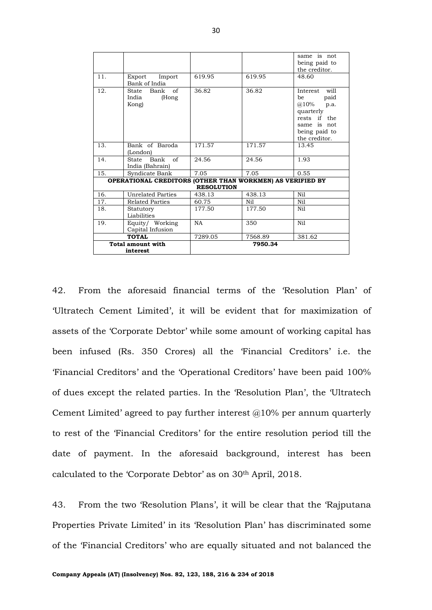|                                                                                |                                                     |           |         | same is not<br>being paid to<br>the creditor.                                                                                |  |
|--------------------------------------------------------------------------------|-----------------------------------------------------|-----------|---------|------------------------------------------------------------------------------------------------------------------------------|--|
| 11.                                                                            | Export<br>Import<br>Bank of India                   | 619.95    | 619.95  | 48.60                                                                                                                        |  |
| 12.                                                                            | $\sigma$ f<br>State Bank<br>India<br>(Hong<br>Kong) | 36.82     | 36.82   | will<br>Interest<br>paid<br>be<br>@10%<br>p.a.<br>quarterly<br>rests if the<br>same is not<br>being paid to<br>the creditor. |  |
| 13.                                                                            | Bank of Baroda<br>(London)                          | 171.57    | 171.57  | 13.45                                                                                                                        |  |
| 14.                                                                            | State Bank of<br>India (Bahrain)                    | 24.56     | 24.56   | 1.93                                                                                                                         |  |
| 15.                                                                            | Syndicate Bank                                      | 7.05      | 7.05    | 0.55                                                                                                                         |  |
| OPERATIONAL CREDITORS (OTHER THAN WORKMEN) AS VERIFIED BY<br><b>RESOLUTION</b> |                                                     |           |         |                                                                                                                              |  |
| 16.                                                                            | Unrelated Parties                                   | 438.13    | 438.13  | Ni1                                                                                                                          |  |
| 17.                                                                            | <b>Related Parties</b>                              | 60.75     | Nil     | Ni1                                                                                                                          |  |
| 18.                                                                            | Statutory<br>Liabilities                            | 177.50    | 177.50  | Nil                                                                                                                          |  |
| 19.                                                                            | Equity/ Working<br>Capital Infusion                 | <b>NA</b> | 350     | Nil                                                                                                                          |  |
| <b>TOTAL</b>                                                                   |                                                     | 7289.05   | 7568.89 | 381.62                                                                                                                       |  |
|                                                                                | <b>Total amount with</b><br>interest                |           | 7950.34 |                                                                                                                              |  |

42. From the aforesaid financial terms of the 'Resolution Plan' of 'Ultratech Cement Limited', it will be evident that for maximization of assets of the 'Corporate Debtor' while some amount of working capital has been infused (Rs. 350 Crores) all the 'Financial Creditors' i.e. the 'Financial Creditors' and the 'Operational Creditors' have been paid 100% of dues except the related parties. In the 'Resolution Plan', the 'Ultratech Cement Limited' agreed to pay further interest  $@10\%$  per annum quarterly to rest of the 'Financial Creditors' for the entire resolution period till the date of payment. In the aforesaid background, interest has been calculated to the 'Corporate Debtor' as on 30th April, 2018.

43. From the two 'Resolution Plans', it will be clear that the 'Rajputana Properties Private Limited' in its 'Resolution Plan' has discriminated some of the 'Financial Creditors' who are equally situated and not balanced the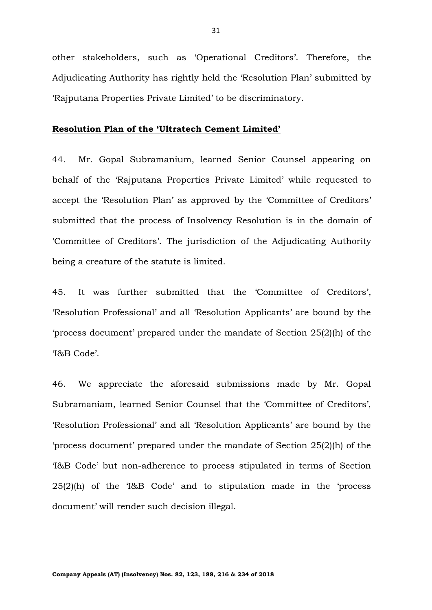other stakeholders, such as 'Operational Creditors'. Therefore, the Adjudicating Authority has rightly held the 'Resolution Plan' submitted by 'Rajputana Properties Private Limited' to be discriminatory.

#### **Resolution Plan of the 'Ultratech Cement Limited'**

44. Mr. Gopal Subramanium, learned Senior Counsel appearing on behalf of the 'Rajputana Properties Private Limited' while requested to accept the 'Resolution Plan' as approved by the 'Committee of Creditors' submitted that the process of Insolvency Resolution is in the domain of 'Committee of Creditors'. The jurisdiction of the Adjudicating Authority being a creature of the statute is limited.

45. It was further submitted that the 'Committee of Creditors', 'Resolution Professional' and all 'Resolution Applicants' are bound by the 'process document' prepared under the mandate of Section 25(2)(h) of the 'I&B Code'.

46. We appreciate the aforesaid submissions made by Mr. Gopal Subramaniam, learned Senior Counsel that the 'Committee of Creditors', 'Resolution Professional' and all 'Resolution Applicants' are bound by the 'process document' prepared under the mandate of Section 25(2)(h) of the 'I&B Code' but non-adherence to process stipulated in terms of Section 25(2)(h) of the 'I&B Code' and to stipulation made in the 'process document' will render such decision illegal.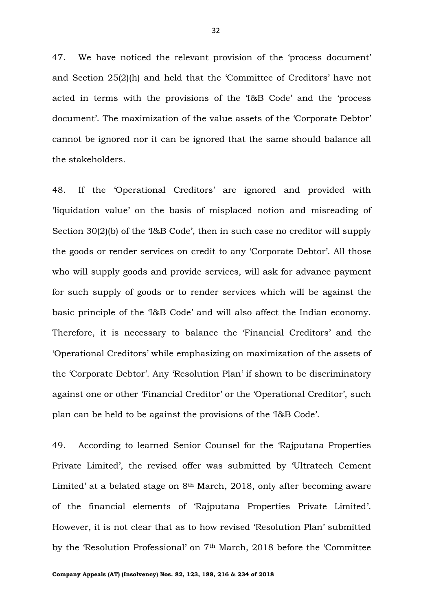47. We have noticed the relevant provision of the 'process document' and Section 25(2)(h) and held that the 'Committee of Creditors' have not acted in terms with the provisions of the 'I&B Code' and the 'process document'. The maximization of the value assets of the 'Corporate Debtor' cannot be ignored nor it can be ignored that the same should balance all the stakeholders.

48. If the 'Operational Creditors' are ignored and provided with 'liquidation value' on the basis of misplaced notion and misreading of Section 30(2)(b) of the 'I&B Code', then in such case no creditor will supply the goods or render services on credit to any 'Corporate Debtor'. All those who will supply goods and provide services, will ask for advance payment for such supply of goods or to render services which will be against the basic principle of the 'I&B Code' and will also affect the Indian economy. Therefore, it is necessary to balance the 'Financial Creditors' and the 'Operational Creditors' while emphasizing on maximization of the assets of the 'Corporate Debtor'. Any 'Resolution Plan' if shown to be discriminatory against one or other 'Financial Creditor' or the 'Operational Creditor', such plan can be held to be against the provisions of the 'I&B Code'.

49. According to learned Senior Counsel for the 'Rajputana Properties Private Limited', the revised offer was submitted by 'Ultratech Cement Limited' at a belated stage on 8<sup>th</sup> March, 2018, only after becoming aware of the financial elements of 'Rajputana Properties Private Limited'. However, it is not clear that as to how revised 'Resolution Plan' submitted by the 'Resolution Professional' on 7th March, 2018 before the 'Committee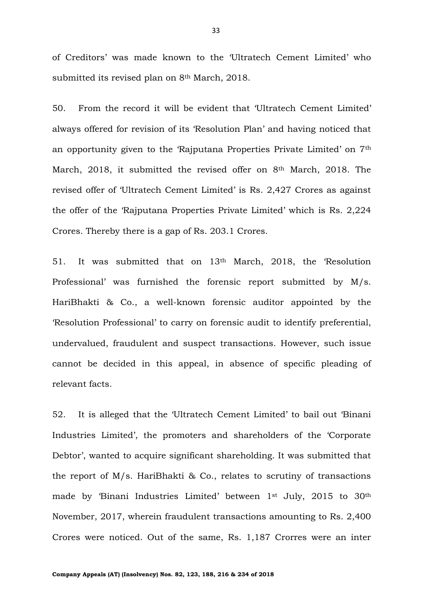of Creditors' was made known to the 'Ultratech Cement Limited' who submitted its revised plan on 8th March, 2018.

50. From the record it will be evident that 'Ultratech Cement Limited' always offered for revision of its 'Resolution Plan' and having noticed that an opportunity given to the 'Rajputana Properties Private Limited' on 7th March, 2018, it submitted the revised offer on 8<sup>th</sup> March, 2018. The revised offer of 'Ultratech Cement Limited' is Rs. 2,427 Crores as against the offer of the 'Rajputana Properties Private Limited' which is Rs. 2,224 Crores. Thereby there is a gap of Rs. 203.1 Crores.

51. It was submitted that on 13th March, 2018, the 'Resolution Professional' was furnished the forensic report submitted by M/s. HariBhakti & Co., a well-known forensic auditor appointed by the 'Resolution Professional' to carry on forensic audit to identify preferential, undervalued, fraudulent and suspect transactions. However, such issue cannot be decided in this appeal, in absence of specific pleading of relevant facts.

52. It is alleged that the 'Ultratech Cement Limited' to bail out 'Binani Industries Limited', the promoters and shareholders of the 'Corporate Debtor', wanted to acquire significant shareholding. It was submitted that the report of M/s. HariBhakti & Co., relates to scrutiny of transactions made by 'Binani Industries Limited' between 1st July, 2015 to 30th November, 2017, wherein fraudulent transactions amounting to Rs. 2,400 Crores were noticed. Out of the same, Rs. 1,187 Crorres were an inter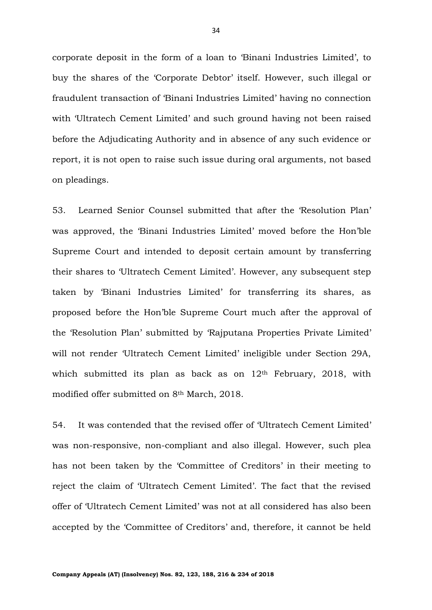corporate deposit in the form of a loan to 'Binani Industries Limited', to buy the shares of the 'Corporate Debtor' itself. However, such illegal or fraudulent transaction of 'Binani Industries Limited' having no connection with 'Ultratech Cement Limited' and such ground having not been raised before the Adjudicating Authority and in absence of any such evidence or report, it is not open to raise such issue during oral arguments, not based on pleadings.

53. Learned Senior Counsel submitted that after the 'Resolution Plan' was approved, the 'Binani Industries Limited' moved before the Hon'ble Supreme Court and intended to deposit certain amount by transferring their shares to 'Ultratech Cement Limited'. However, any subsequent step taken by 'Binani Industries Limited' for transferring its shares, as proposed before the Hon'ble Supreme Court much after the approval of the 'Resolution Plan' submitted by 'Rajputana Properties Private Limited' will not render 'Ultratech Cement Limited' ineligible under Section 29A, which submitted its plan as back as on 12th February, 2018, with modified offer submitted on 8th March, 2018.

54. It was contended that the revised offer of 'Ultratech Cement Limited' was non-responsive, non-compliant and also illegal. However, such plea has not been taken by the 'Committee of Creditors' in their meeting to reject the claim of 'Ultratech Cement Limited'. The fact that the revised offer of 'Ultratech Cement Limited' was not at all considered has also been accepted by the 'Committee of Creditors' and, therefore, it cannot be held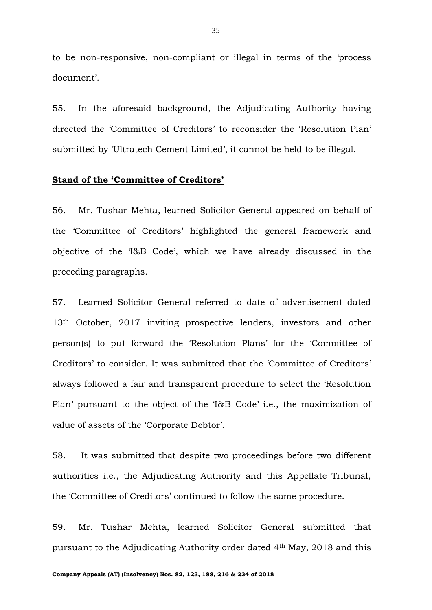to be non-responsive, non-compliant or illegal in terms of the 'process document'.

55. In the aforesaid background, the Adjudicating Authority having directed the 'Committee of Creditors' to reconsider the 'Resolution Plan' submitted by 'Ultratech Cement Limited', it cannot be held to be illegal.

### **Stand of the 'Committee of Creditors'**

56. Mr. Tushar Mehta, learned Solicitor General appeared on behalf of the 'Committee of Creditors' highlighted the general framework and objective of the 'I&B Code', which we have already discussed in the preceding paragraphs.

57. Learned Solicitor General referred to date of advertisement dated 13th October, 2017 inviting prospective lenders, investors and other person(s) to put forward the 'Resolution Plans' for the 'Committee of Creditors' to consider. It was submitted that the 'Committee of Creditors' always followed a fair and transparent procedure to select the 'Resolution Plan' pursuant to the object of the 'I&B Code' i.e., the maximization of value of assets of the 'Corporate Debtor'.

58. It was submitted that despite two proceedings before two different authorities i.e., the Adjudicating Authority and this Appellate Tribunal, the 'Committee of Creditors' continued to follow the same procedure.

59. Mr. Tushar Mehta, learned Solicitor General submitted that pursuant to the Adjudicating Authority order dated 4th May, 2018 and this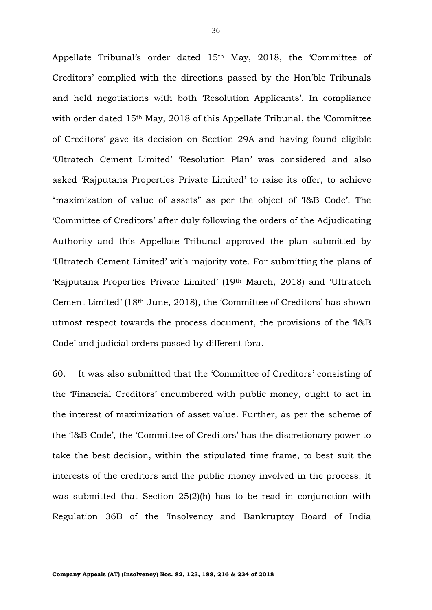Appellate Tribunal's order dated 15th May, 2018, the 'Committee of Creditors' complied with the directions passed by the Hon'ble Tribunals and held negotiations with both 'Resolution Applicants'. In compliance with order dated 15<sup>th</sup> May, 2018 of this Appellate Tribunal, the 'Committee' of Creditors' gave its decision on Section 29A and having found eligible 'Ultratech Cement Limited' 'Resolution Plan' was considered and also asked 'Rajputana Properties Private Limited' to raise its offer, to achieve "maximization of value of assets" as per the object of 'I&B Code'. The 'Committee of Creditors' after duly following the orders of the Adjudicating Authority and this Appellate Tribunal approved the plan submitted by 'Ultratech Cement Limited' with majority vote. For submitting the plans of 'Rajputana Properties Private Limited' (19th March, 2018) and 'Ultratech Cement Limited' (18th June, 2018), the 'Committee of Creditors' has shown utmost respect towards the process document, the provisions of the 'I&B Code' and judicial orders passed by different fora.

60. It was also submitted that the 'Committee of Creditors' consisting of the 'Financial Creditors' encumbered with public money, ought to act in the interest of maximization of asset value. Further, as per the scheme of the 'I&B Code', the 'Committee of Creditors' has the discretionary power to take the best decision, within the stipulated time frame, to best suit the interests of the creditors and the public money involved in the process. It was submitted that Section 25(2)(h) has to be read in conjunction with Regulation 36B of the 'Insolvency and Bankruptcy Board of India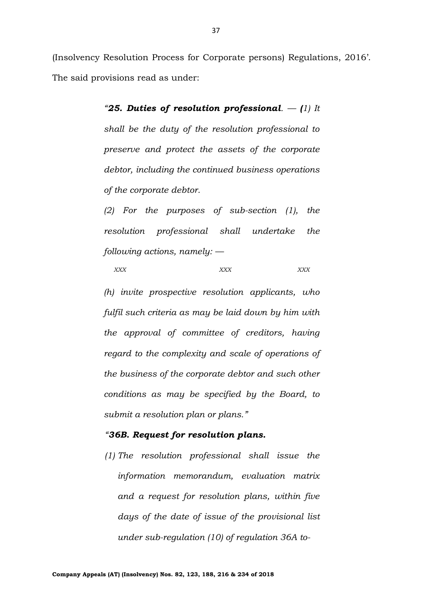(Insolvency Resolution Process for Corporate persons) Regulations, 2016'. The said provisions read as under:

> *"25. Duties of resolution professional. — (1) It shall be the duty of the resolution professional to preserve and protect the assets of the corporate debtor, including the continued business operations of the corporate debtor.*

> *(2) For the purposes of sub-section (1), the resolution professional shall undertake the following actions, namely: —*

```
XXX XXX XXX
```
*(h) invite prospective resolution applicants, who fulfil such criteria as may be laid down by him with the approval of committee of creditors, having regard to the complexity and scale of operations of the business of the corporate debtor and such other conditions as may be specified by the Board, to submit a resolution plan or plans."*

#### *"36B. Request for resolution plans.*

*(1) The resolution professional shall issue the information memorandum, evaluation matrix and a request for resolution plans, within five days of the date of issue of the provisional list under sub-regulation (10) of regulation 36A to-*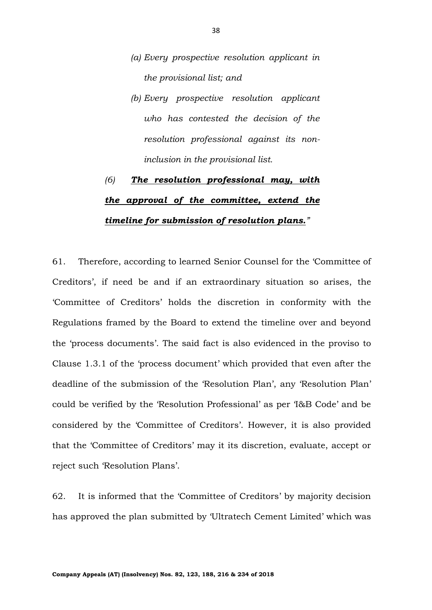- *(a) Every prospective resolution applicant in the provisional list; and*
- *(b) Every prospective resolution applicant who has contested the decision of the resolution professional against its noninclusion in the provisional list.*

# *(6) The resolution professional may, with the approval of the committee, extend the timeline for submission of resolution plans."*

61. Therefore, according to learned Senior Counsel for the 'Committee of Creditors', if need be and if an extraordinary situation so arises, the 'Committee of Creditors' holds the discretion in conformity with the Regulations framed by the Board to extend the timeline over and beyond the 'process documents'. The said fact is also evidenced in the proviso to Clause 1.3.1 of the 'process document' which provided that even after the deadline of the submission of the 'Resolution Plan', any 'Resolution Plan' could be verified by the 'Resolution Professional' as per 'I&B Code' and be considered by the 'Committee of Creditors'. However, it is also provided that the 'Committee of Creditors' may it its discretion, evaluate, accept or reject such 'Resolution Plans'.

62. It is informed that the 'Committee of Creditors' by majority decision has approved the plan submitted by 'Ultratech Cement Limited' which was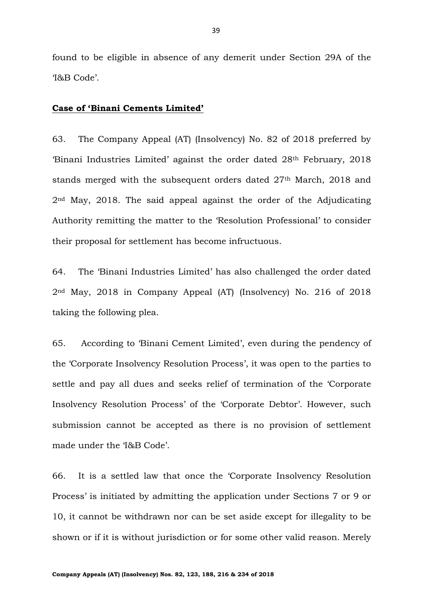found to be eligible in absence of any demerit under Section 29A of the 'I&B Code'.

#### **Case of 'Binani Cements Limited'**

63. The Company Appeal (AT) (Insolvency) No. 82 of 2018 preferred by 'Binani Industries Limited' against the order dated 28th February, 2018 stands merged with the subsequent orders dated 27<sup>th</sup> March, 2018 and 2nd May, 2018. The said appeal against the order of the Adjudicating Authority remitting the matter to the 'Resolution Professional' to consider their proposal for settlement has become infructuous.

64. The 'Binani Industries Limited' has also challenged the order dated 2nd May, 2018 in Company Appeal (AT) (Insolvency) No. 216 of 2018 taking the following plea.

65. According to 'Binani Cement Limited', even during the pendency of the 'Corporate Insolvency Resolution Process', it was open to the parties to settle and pay all dues and seeks relief of termination of the 'Corporate Insolvency Resolution Process' of the 'Corporate Debtor'. However, such submission cannot be accepted as there is no provision of settlement made under the 'I&B Code'.

66. It is a settled law that once the 'Corporate Insolvency Resolution Process' is initiated by admitting the application under Sections 7 or 9 or 10, it cannot be withdrawn nor can be set aside except for illegality to be shown or if it is without jurisdiction or for some other valid reason. Merely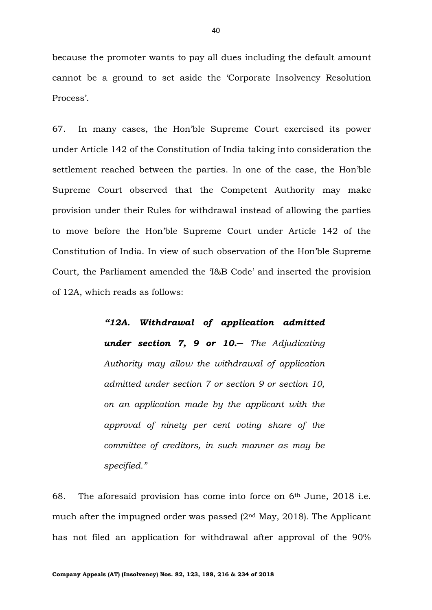because the promoter wants to pay all dues including the default amount cannot be a ground to set aside the 'Corporate Insolvency Resolution Process'.

67. In many cases, the Hon'ble Supreme Court exercised its power under Article 142 of the Constitution of India taking into consideration the settlement reached between the parties. In one of the case, the Hon'ble Supreme Court observed that the Competent Authority may make provision under their Rules for withdrawal instead of allowing the parties to move before the Hon'ble Supreme Court under Article 142 of the Constitution of India. In view of such observation of the Hon'ble Supreme Court, the Parliament amended the 'I&B Code' and inserted the provision of 12A, which reads as follows:

> *"12A. Withdrawal of application admitted under section 7, 9 or 10.─ The Adjudicating Authority may allow the withdrawal of application admitted under section 7 or section 9 or section 10, on an application made by the applicant with the approval of ninety per cent voting share of the committee of creditors, in such manner as may be specified."*

68. The aforesaid provision has come into force on  $6<sup>th</sup>$  June, 2018 i.e. much after the impugned order was passed  $(2<sup>nd</sup>$  May, 2018). The Applicant has not filed an application for withdrawal after approval of the 90%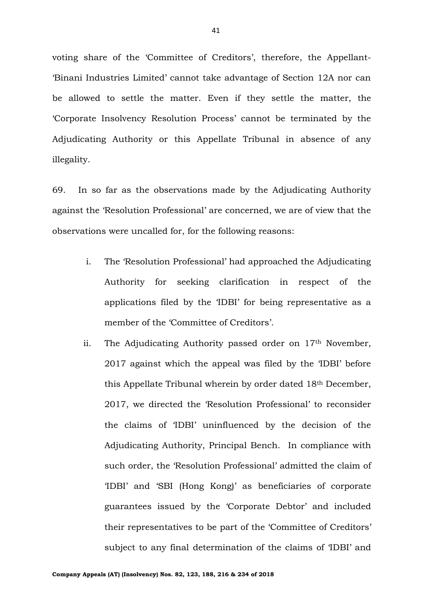voting share of the 'Committee of Creditors', therefore, the Appellant- 'Binani Industries Limited' cannot take advantage of Section 12A nor can be allowed to settle the matter. Even if they settle the matter, the 'Corporate Insolvency Resolution Process' cannot be terminated by the Adjudicating Authority or this Appellate Tribunal in absence of any illegality.

69. In so far as the observations made by the Adjudicating Authority against the 'Resolution Professional' are concerned, we are of view that the observations were uncalled for, for the following reasons:

- i. The 'Resolution Professional' had approached the Adjudicating Authority for seeking clarification in respect of the applications filed by the 'IDBI' for being representative as a member of the 'Committee of Creditors'.
- ii. The Adjudicating Authority passed order on  $17<sup>th</sup>$  November, 2017 against which the appeal was filed by the 'IDBI' before this Appellate Tribunal wherein by order dated 18th December, 2017, we directed the 'Resolution Professional' to reconsider the claims of 'IDBI' uninfluenced by the decision of the Adjudicating Authority, Principal Bench. In compliance with such order, the 'Resolution Professional' admitted the claim of 'IDBI' and 'SBI (Hong Kong)' as beneficiaries of corporate guarantees issued by the 'Corporate Debtor' and included their representatives to be part of the 'Committee of Creditors' subject to any final determination of the claims of 'IDBI' and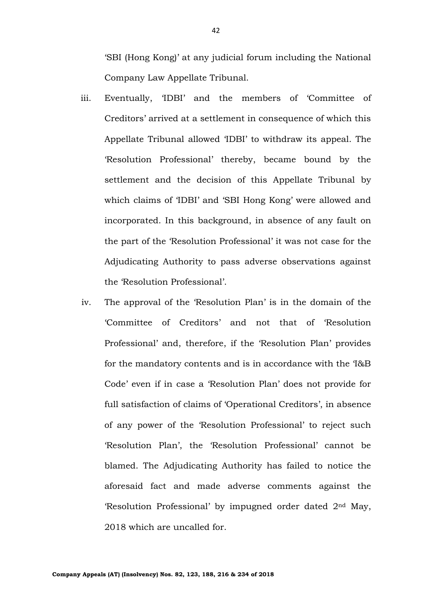'SBI (Hong Kong)' at any judicial forum including the National Company Law Appellate Tribunal.

- iii. Eventually, 'IDBI' and the members of 'Committee of Creditors' arrived at a settlement in consequence of which this Appellate Tribunal allowed 'IDBI' to withdraw its appeal. The 'Resolution Professional' thereby, became bound by the settlement and the decision of this Appellate Tribunal by which claims of 'IDBI' and 'SBI Hong Kong' were allowed and incorporated. In this background, in absence of any fault on the part of the 'Resolution Professional' it was not case for the Adjudicating Authority to pass adverse observations against the 'Resolution Professional'.
- iv. The approval of the 'Resolution Plan' is in the domain of the 'Committee of Creditors' and not that of 'Resolution Professional' and, therefore, if the 'Resolution Plan' provides for the mandatory contents and is in accordance with the 'I&B Code' even if in case a 'Resolution Plan' does not provide for full satisfaction of claims of 'Operational Creditors', in absence of any power of the 'Resolution Professional' to reject such 'Resolution Plan', the 'Resolution Professional' cannot be blamed. The Adjudicating Authority has failed to notice the aforesaid fact and made adverse comments against the 'Resolution Professional' by impugned order dated 2nd May, 2018 which are uncalled for.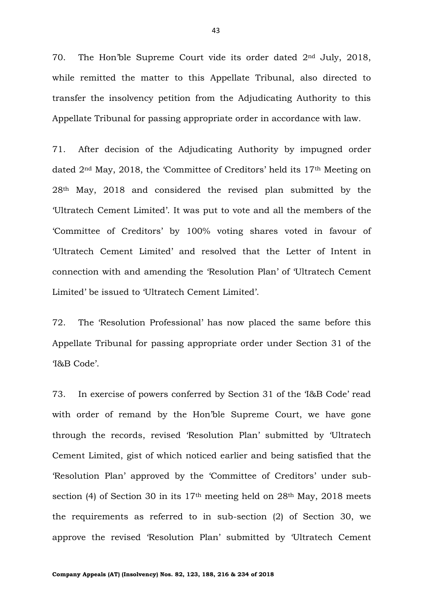70. The Hon'ble Supreme Court vide its order dated 2nd July, 2018, while remitted the matter to this Appellate Tribunal, also directed to transfer the insolvency petition from the Adjudicating Authority to this Appellate Tribunal for passing appropriate order in accordance with law.

71. After decision of the Adjudicating Authority by impugned order dated 2<sup>nd</sup> May, 2018, the 'Committee of Creditors' held its 17<sup>th</sup> Meeting on 28th May, 2018 and considered the revised plan submitted by the 'Ultratech Cement Limited'. It was put to vote and all the members of the 'Committee of Creditors' by 100% voting shares voted in favour of 'Ultratech Cement Limited' and resolved that the Letter of Intent in connection with and amending the 'Resolution Plan' of 'Ultratech Cement Limited' be issued to 'Ultratech Cement Limited'.

72. The 'Resolution Professional' has now placed the same before this Appellate Tribunal for passing appropriate order under Section 31 of the 'I&B Code'.

73. In exercise of powers conferred by Section 31 of the 'I&B Code' read with order of remand by the Hon'ble Supreme Court, we have gone through the records, revised 'Resolution Plan' submitted by 'Ultratech Cement Limited, gist of which noticed earlier and being satisfied that the 'Resolution Plan' approved by the 'Committee of Creditors' under subsection (4) of Section 30 in its  $17<sup>th</sup>$  meeting held on  $28<sup>th</sup>$  May,  $2018$  meets the requirements as referred to in sub-section (2) of Section 30, we approve the revised 'Resolution Plan' submitted by 'Ultratech Cement